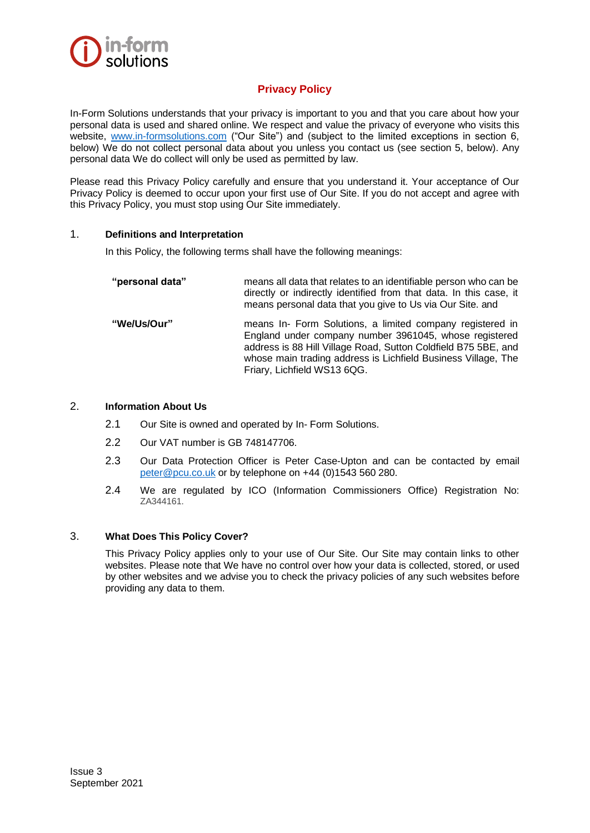

# **Privacy Policy**

In-Form Solutions understands that your privacy is important to you and that you care about how your personal data is used and shared online. We respect and value the privacy of everyone who visits this website, [www.in-formsolutions.com](http://www.in-formsolutions.com/) ("Our Site") and (subject to the limited exceptions in section 6, below) We do not collect personal data about you unless you contact us (see section 5, below). Any personal data We do collect will only be used as permitted by law.

Please read this Privacy Policy carefully and ensure that you understand it. Your acceptance of Our Privacy Policy is deemed to occur upon your first use of Our Site. If you do not accept and agree with this Privacy Policy, you must stop using Our Site immediately.

# 1. **Definitions and Interpretation**

In this Policy, the following terms shall have the following meanings:

| "personal data" | means all data that relates to an identifiable person who can be<br>directly or indirectly identified from that data. In this case, it<br>means personal data that you give to Us via Our Site. and                                                                                   |
|-----------------|---------------------------------------------------------------------------------------------------------------------------------------------------------------------------------------------------------------------------------------------------------------------------------------|
| "We/Us/Our"     | means In- Form Solutions, a limited company registered in<br>England under company number 3961045, whose registered<br>address is 88 Hill Village Road, Sutton Coldfield B75 5BE, and<br>whose main trading address is Lichfield Business Village, The<br>Friary, Lichfield WS13 6QG. |

# 2. **Information About Us**

- 2.1 Our Site is owned and operated by In- Form Solutions.
- 2.2 Our VAT number is GB 748147706.
- 2.3 Our Data Protection Officer is Peter Case-Upton and can be contacted by email [peter@pcu.co.uk](mailto:peter@pcu.co.uk) or by telephone on +44 (0)1543 560 280.
- 2.4 We are regulated by ICO (Information Commissioners Office) Registration No: ZA344161.

# 3. **What Does This Policy Cover?**

This Privacy Policy applies only to your use of Our Site. Our Site may contain links to other websites. Please note that We have no control over how your data is collected, stored, or used by other websites and we advise you to check the privacy policies of any such websites before providing any data to them.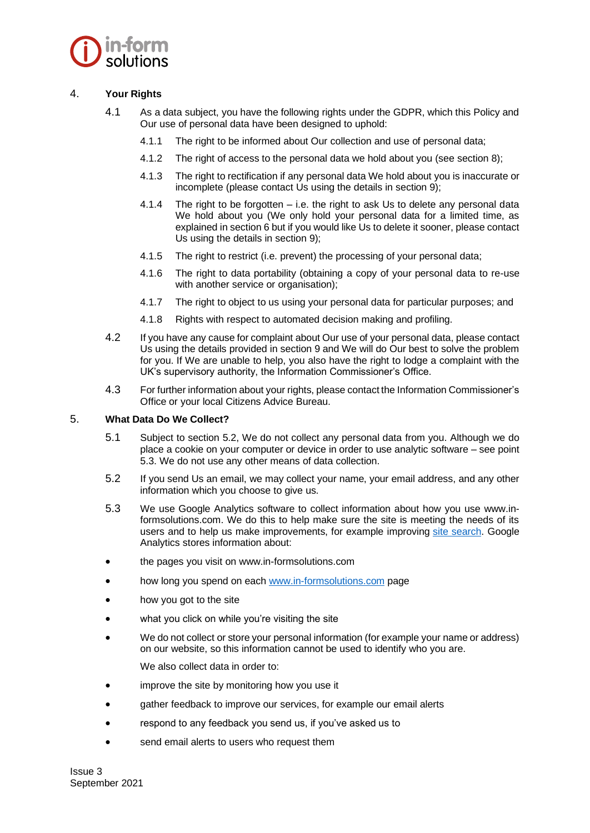

# 4. **Your Rights**

- 4.1 As a data subject, you have the following rights under the GDPR, which this Policy and Our use of personal data have been designed to uphold:
	- 4.1.1 The right to be informed about Our collection and use of personal data;
	- 4.1.2 The right of access to the personal data we hold about you (see section 8);
	- 4.1.3 The right to rectification if any personal data We hold about you is inaccurate or incomplete (please contact Us using the details in section 9);
	- 4.1.4 The right to be forgotten i.e. the right to ask Us to delete any personal data We hold about you (We only hold your personal data for a limited time, as explained in section 6 but if you would like Us to delete it sooner, please contact Us using the details in section 9);
	- 4.1.5 The right to restrict (i.e. prevent) the processing of your personal data;
	- 4.1.6 The right to data portability (obtaining a copy of your personal data to re-use with another service or organisation);
	- 4.1.7 The right to object to us using your personal data for particular purposes; and
	- 4.1.8 Rights with respect to automated decision making and profiling.
- 4.2 If you have any cause for complaint about Our use of your personal data, please contact Us using the details provided in section 9 and We will do Our best to solve the problem for you. If We are unable to help, you also have the right to lodge a complaint with the UK's supervisory authority, the Information Commissioner's Office.
- 4.3 For further information about your rights, please contact the Information Commissioner's Office or your local Citizens Advice Bureau.

### 5. **What Data Do We Collect?**

- 5.1 Subject to section 5.2, We do not collect any personal data from you. Although we do place a cookie on your computer or device in order to use analytic software – see point 5.3. We do not use any other means of data collection.
- 5.2 If you send Us an email, we may collect your name, your email address, and any other information which you choose to give us.
- 5.3 We use Google Analytics software to collect information about how you use www.informsolutions.com. We do this to help make sure the site is meeting the needs of its users and to help us make improvements, for example improving [site search.](https://insidegovuk.blog.gov.uk/2015/03/26/new-tool-to-see-trending-searches/) Google Analytics stores information about:
- the pages you visit on www.in-formsolutions.com
- how long you spend on each [www.in-formsolutions.com](http://www.in-formsolutions.com/) page
- how you got to the site
- what you click on while you're visiting the site
- We do not collect or store your personal information (for example your name or address) on our website, so this information cannot be used to identify who you are.

We also collect data in order to:

- improve the site by monitoring how you use it
- gather feedback to improve our services, for example our email alerts
- respond to any feedback you send us, if you've asked us to
- send email alerts to users who request them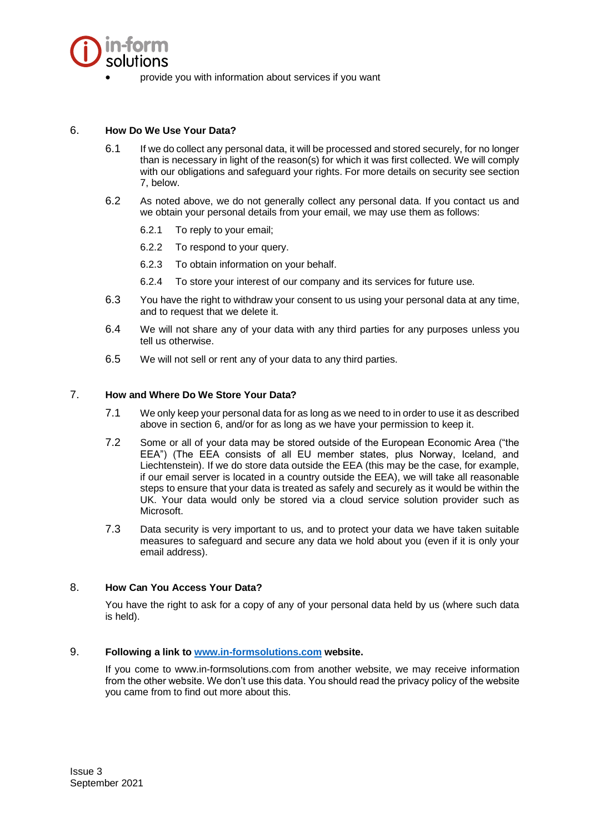

• provide you with information about services if you want

# 6. **How Do We Use Your Data?**

- 6.1 If we do collect any personal data, it will be processed and stored securely, for no longer than is necessary in light of the reason(s) for which it was first collected. We will comply with our obligations and safeguard your rights. For more details on security see section 7, below.
- 6.2 As noted above, we do not generally collect any personal data. If you contact us and we obtain your personal details from your email, we may use them as follows:
	- 6.2.1 To reply to your email;
	- 6.2.2 To respond to your query.
	- 6.2.3 To obtain information on your behalf.
	- 6.2.4 To store your interest of our company and its services for future use.
- 6.3 You have the right to withdraw your consent to us using your personal data at any time, and to request that we delete it.
- 6.4 We will not share any of your data with any third parties for any purposes unless you tell us otherwise.
- 6.5 We will not sell or rent any of your data to any third parties.

#### 7. **How and Where Do We Store Your Data?**

- 7.1 We only keep your personal data for as long as we need to in order to use it as described above in section 6, and/or for as long as we have your permission to keep it.
- 7.2 Some or all of your data may be stored outside of the European Economic Area ("the EEA") (The EEA consists of all EU member states, plus Norway, Iceland, and Liechtenstein). If we do store data outside the EEA (this may be the case, for example, if our email server is located in a country outside the EEA), we will take all reasonable steps to ensure that your data is treated as safely and securely as it would be within the UK. Your data would only be stored via a cloud service solution provider such as Microsoft.
- 7.3 Data security is very important to us, and to protect your data we have taken suitable measures to safeguard and secure any data we hold about you (even if it is only your email address).

# 8. **How Can You Access Your Data?**

You have the right to ask for a copy of any of your personal data held by us (where such data is held).

#### 9. **Following a link to [www.in-formsolutions.com](http://www.in-formsolutions.com/) website.**

If you come to www.in-formsolutions.com from another website, we may receive information from the other website. We don't use this data. You should read the privacy policy of the website you came from to find out more about this.